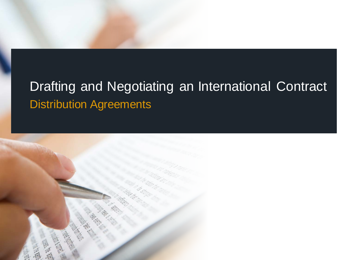## Drafting and Negotiating an International Contract Distribution Agreements

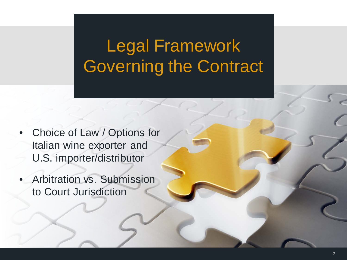# Legal Framework Governing the Contract

- Choice of Law / Options for Italian wine exporter and U.S. importer/distributor
- Arbitration vs. Submission to Court Jurisdiction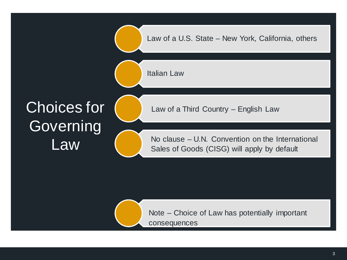

Note – Choice of Law has potentially important consequences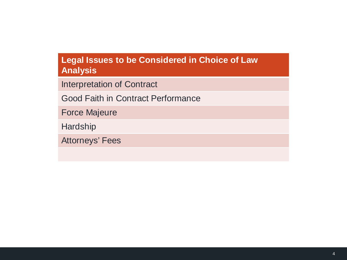#### **Legal Issues to be Considered in Choice of Law Analysis**

Interpretation of Contract

Good Faith in Contract Performance

Force Majeure

**Hardship** 

Attorneys' Fees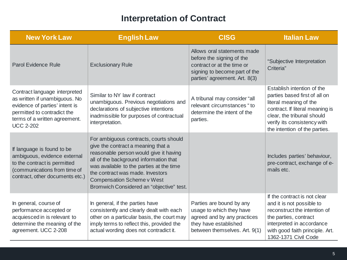#### **Interpretation of Contract**

| <b>New York Law</b>                                                                                                                                                                  | <b>English Law</b>                                                                                                                                                                                                                                                                                                         | <b>CISG</b>                                                                                                                                              | <b>Italian Law</b>                                                                                                                                                                                                     |
|--------------------------------------------------------------------------------------------------------------------------------------------------------------------------------------|----------------------------------------------------------------------------------------------------------------------------------------------------------------------------------------------------------------------------------------------------------------------------------------------------------------------------|----------------------------------------------------------------------------------------------------------------------------------------------------------|------------------------------------------------------------------------------------------------------------------------------------------------------------------------------------------------------------------------|
| <b>Parol Evidence Rule</b>                                                                                                                                                           | <b>Exclusionary Rule</b>                                                                                                                                                                                                                                                                                                   | Allows oral statements made<br>before the signing of the<br>contract or at the time or<br>signing to become part of the<br>parties' agreement. Art. 8(3) | "Subjective Interpretation<br>Criteria"                                                                                                                                                                                |
| Contract language interpreted<br>as written if unambiguous. No<br>evidence of parties' intent is<br>permitted to contradict the<br>terms of a written agreement.<br><b>UCC 2-202</b> | Similar to NY law if contract<br>unambiguous. Previous negotiations and<br>declarations of subjective intentions<br>inadmissible for purposes of contractual<br>interpretation.                                                                                                                                            | A tribunal may consider "all<br>relevant circumstances "to<br>determine the intent of the<br>parties.                                                    | Establish intention of the<br>parties based first of all on<br>literal meaning of the<br>contract. If literal meaning is<br>clear, the tribunal should<br>verify its consistency with<br>the intention of the parties. |
| If language is found to be<br>ambiguous, evidence external<br>to the contract is permitted<br>(communications from time of<br>contract, other documents etc.)                        | For ambiguous contracts, courts should<br>give the contract a meaning that a<br>reasonable person would give it having<br>all of the background information that<br>was available to the parties at the time<br>the contract was made. Investors<br>Compensation Scheme v West<br>Bromwich Considered an "objective" test. |                                                                                                                                                          | Includes parties' behaviour,<br>pre-contract, exchange of e-<br>mails etc.                                                                                                                                             |
| In general, course of<br>performance accepted or<br>acquiesced in is relevant to<br>determine the meaning of the<br>agreement. UCC 2-208                                             | In general, if the parties have<br>consistently and clearly dealt with each<br>other on a particular basis, the court may<br>imply terms to reflect this, provided the<br>actual wording does not contradict it.                                                                                                           | Parties are bound by any<br>usage to which they have<br>agreed and by any practices<br>they have established<br>between themselves. Art. 9(1)            | If the contract is not clear<br>and it is not possible to<br>reconstruct the intention of<br>the parties, contract<br>interpreted in accordance<br>with good faith principle. Art.<br>1362-1371 Civil Code             |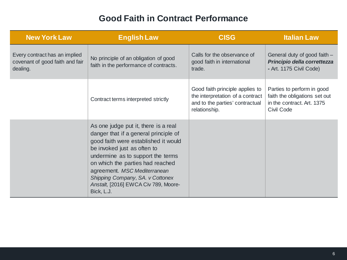#### **Good Faith in Contract Performance**

| <b>New York Law</b>                                                          | <b>English Law</b>                                                                                                                                                                                                                                                                                                                                      | <b>CISG</b>                                                                                                             | <b>Italian Law</b>                                                                                      |
|------------------------------------------------------------------------------|---------------------------------------------------------------------------------------------------------------------------------------------------------------------------------------------------------------------------------------------------------------------------------------------------------------------------------------------------------|-------------------------------------------------------------------------------------------------------------------------|---------------------------------------------------------------------------------------------------------|
| Every contract has an implied<br>covenant of good faith and fair<br>dealing. | No principle of an obligation of good<br>faith in the performance of contracts.                                                                                                                                                                                                                                                                         | Calls for the observance of<br>good faith in international<br>trade.                                                    | General duty of good faith -<br>Principio della correttezza<br>- Art. 1175 Civil Code)                  |
|                                                                              | Contract terms interpreted strictly                                                                                                                                                                                                                                                                                                                     | Good faith principle applies to<br>the interpretation of a contract<br>and to the parties' contractual<br>relationship. | Parties to perform in good<br>faith the obligations set out<br>in the contract. Art. 1375<br>Civil Code |
|                                                                              | As one judge put it, there is a real<br>danger that if a general principle of<br>good faith were established it would<br>be invoked just as often to<br>undermine as to support the terms<br>on which the parties had reached<br>agreement. MSC Mediterranean<br>Shipping Company, SA. v Cottonex<br>Anstalt, [2016] EWCA Civ 789, Moore-<br>Bick, L.J. |                                                                                                                         |                                                                                                         |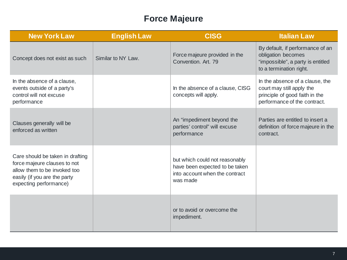#### **Force Majeure**

| <b>New York Law</b>                                                                                                                                        | <b>English Law</b> | <b>CISG</b>                                                                                                    | <b>Italian Law</b>                                                                                                             |
|------------------------------------------------------------------------------------------------------------------------------------------------------------|--------------------|----------------------------------------------------------------------------------------------------------------|--------------------------------------------------------------------------------------------------------------------------------|
| Concept does not exist as such                                                                                                                             | Similar to NY Law. | Force majeure provided in the<br>Convention, Art. 79                                                           | By default, if performance of an<br>obligation becomes<br>"impossible", a party is entitled<br>to a termination right.         |
| In the absence of a clause,<br>events outside of a party's<br>control will not excuse<br>performance                                                       |                    | In the absence of a clause, CISG<br>concepts will apply.                                                       | In the absence of a clause, the<br>court may still apply the<br>principle of good faith in the<br>performance of the contract. |
| Clauses generally will be<br>enforced as written                                                                                                           |                    | An "impediment beyond the<br>parties' control" will excuse<br>performance                                      | Parties are entitled to insert a<br>definition of force majeure in the<br>contract.                                            |
| Care should be taken in drafting<br>force majeure clauses to not<br>allow them to be invoked too<br>easily (if you are the party<br>expecting performance) |                    | but which could not reasonably<br>have been expected to be taken<br>into account when the contract<br>was made |                                                                                                                                |
|                                                                                                                                                            |                    | or to avoid or overcome the<br>impediment.                                                                     |                                                                                                                                |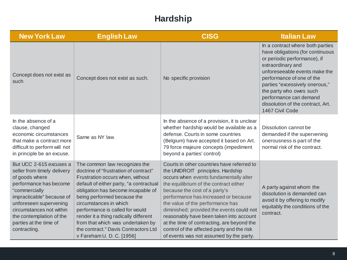#### **Hardship**

| <b>New York Law</b>                                                                                                                                                                                                                                                          | <b>English Law</b>                                                                                                                                                                                                                                                                                                                                                                                                                         | <b>CISG</b>                                                                                                                                                                                                                                                                                                                                                                                                                                                                                                     | <b>Italian Law</b>                                                                                                                                                                                                                                                                                                                     |
|------------------------------------------------------------------------------------------------------------------------------------------------------------------------------------------------------------------------------------------------------------------------------|--------------------------------------------------------------------------------------------------------------------------------------------------------------------------------------------------------------------------------------------------------------------------------------------------------------------------------------------------------------------------------------------------------------------------------------------|-----------------------------------------------------------------------------------------------------------------------------------------------------------------------------------------------------------------------------------------------------------------------------------------------------------------------------------------------------------------------------------------------------------------------------------------------------------------------------------------------------------------|----------------------------------------------------------------------------------------------------------------------------------------------------------------------------------------------------------------------------------------------------------------------------------------------------------------------------------------|
| Concept does not exist as<br>such                                                                                                                                                                                                                                            | Concept does not exist as such.                                                                                                                                                                                                                                                                                                                                                                                                            | No specific provision                                                                                                                                                                                                                                                                                                                                                                                                                                                                                           | In a contract where both parties<br>have obligations (for continuous<br>or periodic performance), if<br>extraordinary and<br>unforeseeable events make the<br>performance of one of the<br>parties "excessively onerous,"<br>the party who owes such<br>performance can demand<br>dissolution of the contract, Art.<br>1467 Civil Code |
| In the absence of a<br>clause, changed<br>economic circumstances<br>that make a contract more<br>difficult to perform will not<br>in principle be an excuse.                                                                                                                 | Same as NY law.                                                                                                                                                                                                                                                                                                                                                                                                                            | In the absence of a provision, it is unclear<br>whether hardship would be available as a<br>defense. Courts in some countries<br>(Belgium) have accepted it based on Art.<br>79 force majeure concepts (impediment<br>beyond a parties' control)                                                                                                                                                                                                                                                                | Dissolution cannot be<br>demanded if the supervening<br>onerousness is part of the<br>normal risk of the contract.                                                                                                                                                                                                                     |
| But UCC 2-615 excuses a<br>seller from timely delivery<br>of goods where<br>performance has become<br>"commercially<br>impracticable" because of<br>unforeseen supervening<br>circumstances not within<br>the contemplation of the<br>parties at the time of<br>contracting. | The common law recognizes the<br>doctrine of "frustration of contract"<br>Frustration occurs when, without<br>default of either party, "a contractual<br>obligation has become incapable of<br>being performed because the<br>circumstances in which<br>performance is called for would<br>render it a thing radically different<br>from that which was undertaken by<br>the contract." Davis Contractors Ltd<br>v Fareham U. D. C. [1956] | Courts in other countries have referred to<br>the UNIDROIT principles. Hardship<br>occurs when events fundamentally alter<br>the equilibrium of the contract either<br>because the cost of a party's<br>performance has increased or because<br>the value of the performance has<br>diminished; provided the events could not<br>reasonably have been taken into account<br>at the time of contracting, are beyond the<br>control of the affected party and the risk<br>of events was not assumed by the party. | A party against whom the<br>dissolution is demanded can<br>avoid it by offering to modify<br>equitably the conditions of the<br>contract.                                                                                                                                                                                              |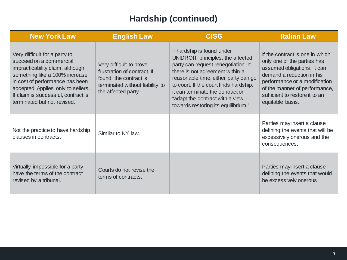#### **Hardship (continued)**

| <b>New York Law</b>                                                                                                                                                                                                                                                           | <b>English Law</b>                                                                                                                         | <b>CISG</b>                                                                                                                                                                                                                                                                                                                               | <b>Italian Law</b>                                                                                                                                                                                                                                 |
|-------------------------------------------------------------------------------------------------------------------------------------------------------------------------------------------------------------------------------------------------------------------------------|--------------------------------------------------------------------------------------------------------------------------------------------|-------------------------------------------------------------------------------------------------------------------------------------------------------------------------------------------------------------------------------------------------------------------------------------------------------------------------------------------|----------------------------------------------------------------------------------------------------------------------------------------------------------------------------------------------------------------------------------------------------|
| Very difficult for a party to<br>succeed on a commercial<br>impracticability claim, although<br>something like a 100% increase<br>in cost of performance has been<br>accepted. Applies only to sellers.<br>If claim is successful, contract is<br>terminated but not revised. | Very difficult to prove<br>frustration of contract. If<br>found, the contract is<br>terminated without liability to<br>the affected party. | If hardship is found under<br>UNIDROIT principles, the affected<br>party can request renegotiation. It<br>there is not agreement within a<br>reasonable time, either party can go<br>to court. If the court finds hardship,<br>it can terminate the contract or<br>"adapt the contract with a view<br>towards restoring its equilibrium." | If the contract is one in which<br>only one of the parties has<br>assumed obligations, it can<br>demand a reduction in his<br>performance or a modification<br>of the manner of performance,<br>sufficient to restore it to an<br>equitable basis. |
| Not the practice to have hardship<br>clauses in contracts.                                                                                                                                                                                                                    | Similar to NY law.                                                                                                                         |                                                                                                                                                                                                                                                                                                                                           | Parties may insert a clause<br>defining the events that will be<br>excessively onerous and the<br>consequences.                                                                                                                                    |
| Virtually impossible for a party<br>have the terms of the contract<br>revised by a tribunal.                                                                                                                                                                                  | Courts do not revise the<br>terms of contracts.                                                                                            |                                                                                                                                                                                                                                                                                                                                           | Parties may insert a clause<br>defining the events that would<br>be excessively onerous                                                                                                                                                            |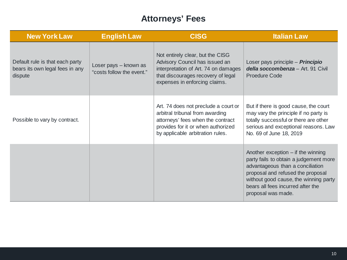#### **Attorneys' Fees**

| <b>New York Law</b>                                                           | <b>English Law</b>                                 | <b>CISG</b>                                                                                                                                                                            | <b>Italian Law</b>                                                                                                                                                                                                                                          |
|-------------------------------------------------------------------------------|----------------------------------------------------|----------------------------------------------------------------------------------------------------------------------------------------------------------------------------------------|-------------------------------------------------------------------------------------------------------------------------------------------------------------------------------------------------------------------------------------------------------------|
| Default rule is that each party<br>bears its own legal fees in any<br>dispute | Loser pays - known as<br>"costs follow the event." | Not entirely clear, but the CISG<br>Advisory Council has issued an<br>interpretation of Art. 74 on damages<br>that discourages recovery of legal<br>expenses in enforcing claims.      | Loser pays principle - Principio<br>della soccombenza - Art. 91 Civil<br><b>Proedure Code</b>                                                                                                                                                               |
| Possible to vary by contract.                                                 |                                                    | Art. 74 does not preclude a court or<br>arbitral tribunal from awarding<br>attorneys' fees when the contract<br>provides for it or when authorized<br>by applicable arbitration rules. | But if there is good cause, the court<br>may vary the principle if no party is<br>totally successful or there are other<br>serious and exceptional reasons. Law<br>No. 69 of June 18, 2019                                                                  |
|                                                                               |                                                    |                                                                                                                                                                                        | Another exception $-$ if the winning<br>party fails to obtain a judgement more<br>advantageous than a conciliation<br>proposal and refused the proposal<br>without good cause, the winning party<br>bears all fees incurred after the<br>proposal was made. |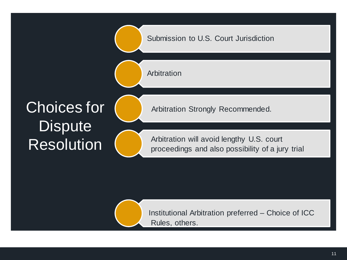